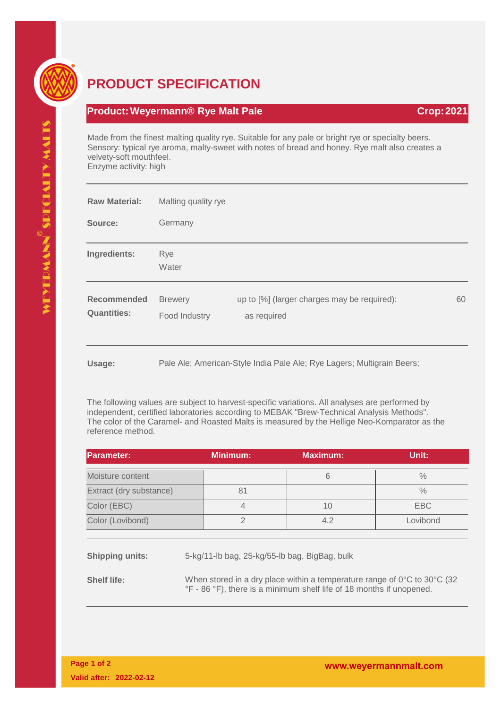

## **PRODUCT SPECIFICATION**

## **Product: Weyermann® Rye Malt Pale <b>Crop: 2021 Crop: 2021**

Made from the finest malting quality rye. Suitable for any pale or bright rye or specialty beers. Sensory: typical rye aroma, malty-sweet with notes of bread and honey. Rye malt also creates a velvety-soft mouthfeel.

Enzyme activity: high

| <b>Raw Material:</b>              | Malting quality rye             |                                                                        |    |
|-----------------------------------|---------------------------------|------------------------------------------------------------------------|----|
| Source:                           | Germany                         |                                                                        |    |
| Ingredients:                      | <b>Rye</b><br>Water             |                                                                        |    |
| Recommended<br><b>Quantities:</b> | <b>Brewery</b><br>Food Industry | up to [%] (larger charges may be required):<br>as required             | 60 |
| Usage:                            |                                 | Pale Ale; American-Style India Pale Ale; Rye Lagers; Multigrain Beers; |    |

The following values are subject to harvest-specific variations. All analyses are performed by independent, certified laboratories according to MEBAK "Brew-Technical Analysis Methods". The color of the Caramel- and Roasted Malts is measured by the Hellige Neo-Komparator as the reference method.

| <b>Parameter:</b>       |                                                                                              | <b>Minimum:</b> | <b>Maximum:</b> | Unit:         |  |  |
|-------------------------|----------------------------------------------------------------------------------------------|-----------------|-----------------|---------------|--|--|
| Moisture content        |                                                                                              |                 | 6               | $\%$          |  |  |
| Extract (dry substance) |                                                                                              | 81              |                 | $\frac{0}{0}$ |  |  |
| Color (EBC)             |                                                                                              | $\overline{4}$  | 10              | <b>EBC</b>    |  |  |
| Color (Lovibond)        |                                                                                              | $\overline{2}$  | 4.2             | Lovibond      |  |  |
|                         |                                                                                              |                 |                 |               |  |  |
| <b>Shipping units:</b>  | 5-kg/11-lb bag, 25-kg/55-lb bag, BigBag, bulk                                                |                 |                 |               |  |  |
| <b>Shelf life:</b>      | When stored in a dry place within a temperature range of $0^{\circ}$ C to $30^{\circ}$ C (32 |                 |                 |               |  |  |